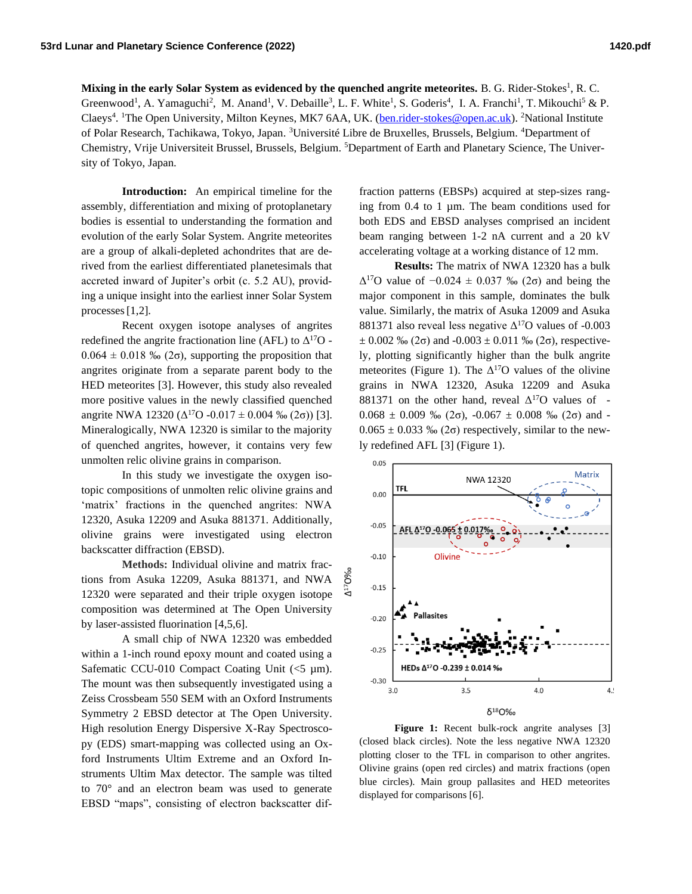## Mixing in the early Solar System as evidenced by the quenched angrite meteorites. B. G. Rider-Stokes<sup>1</sup>, R. C.

Greenwood<sup>1</sup>, A. Yamaguchi<sup>2</sup>, M. Anand<sup>1</sup>, V. Debaille<sup>3</sup>, L. F. White<sup>1</sup>, S. Goderis<sup>4</sup>, I. A. Franchi<sup>1</sup>, T. Mikouchi<sup>5</sup> & P. Claeys<sup>4</sup>. <sup>1</sup>The Open University, Milton Keynes, MK7 6AA, UK. [\(ben.rider-stokes@open.ac.uk\)](mailto:ben.rider-stokes@open.ac.uk). <sup>2</sup>National Institute of Polar Research, Tachikawa, Tokyo, Japan. <sup>3</sup>Université Libre de Bruxelles, Brussels, Belgium. <sup>4</sup>Department of Chemistry, Vrije Universiteit Brussel, Brussels, Belgium. <sup>5</sup>Department of Earth and Planetary Science, The University of Tokyo, Japan.

7O%o

 $\Delta^{17}$ 

**Introduction:** An empirical timeline for the assembly, differentiation and mixing of protoplanetary bodies is essential to understanding the formation and evolution of the early Solar System. Angrite meteorites are a group of alkali-depleted achondrites that are derived from the earliest differentiated planetesimals that accreted inward of Jupiter's orbit (c. 5.2 AU), providing a unique insight into the earliest inner Solar System processes[1,2].

Recent oxygen isotope analyses of angrites redefined the angrite fractionation line (AFL) to  $\Delta^{17}O$  - $0.064 \pm 0.018$  ‰ (2 $\sigma$ ), supporting the proposition that angrites originate from a separate parent body to the HED meteorites [3]. However, this study also revealed more positive values in the newly classified quenched angrite NWA 12320 ( $\Delta^{17}$ O -0.017  $\pm$  0.004 ‰ (2 $\sigma$ )) [3]. Mineralogically, NWA 12320 is similar to the majority of quenched angrites, however, it contains very few unmolten relic olivine grains in comparison.

In this study we investigate the oxygen isotopic compositions of unmolten relic olivine grains and 'matrix' fractions in the quenched angrites: NWA 12320, Asuka 12209 and Asuka 881371. Additionally, olivine grains were investigated using electron backscatter diffraction (EBSD).

**Methods:** Individual olivine and matrix fractions from Asuka 12209, Asuka 881371, and NWA 12320 were separated and their triple oxygen isotope composition was determined at The Open University by laser-assisted fluorination [4,5,6].

A small chip of NWA 12320 was embedded within a 1-inch round epoxy mount and coated using a Safematic CCU-010 Compact Coating Unit  $(<5 \mu m$ ). The mount was then subsequently investigated using a Zeiss Crossbeam 550 SEM with an Oxford Instruments Symmetry 2 EBSD detector at The Open University. High resolution Energy Dispersive X-Ray Spectroscopy (EDS) smart-mapping was collected using an Oxford Instruments Ultim Extreme and an Oxford Instruments Ultim Max detector. The sample was tilted to 70° and an electron beam was used to generate EBSD "maps", consisting of electron backscatter dif-

fraction patterns (EBSPs) acquired at step-sizes ranging from 0.4 to 1 µm. The beam conditions used for both EDS and EBSD analyses comprised an incident beam ranging between 1-2 nA current and a 20 kV accelerating voltage at a working distance of 12 mm.

**Results:** The matrix of NWA 12320 has a bulk  $Δ<sup>17</sup>O$  value of  $-0.024 \pm 0.037$  ‰ (2σ) and being the major component in this sample, dominates the bulk value. Similarly, the matrix of Asuka 12009 and Asuka 881371 also reveal less negative  $\Delta^{17}$ O values of -0.003  $\pm$  0.002 ‰ (2 $\sigma$ ) and -0.003  $\pm$  0.011 ‰ (2 $\sigma$ ), respectively, plotting significantly higher than the bulk angrite meteorites (Figure 1). The  $\Delta^{17}$ O values of the olivine grains in NWA 12320, Asuka 12209 and Asuka 881371 on the other hand, reveal  $\Delta^{17}O$  values of - $0.068 \pm 0.009$  ‰ (2 $\sigma$ ),  $-0.067 \pm 0.008$  ‰ (2 $\sigma$ ) and - $0.065 \pm 0.033$  ‰ (2 $\sigma$ ) respectively, similar to the newly redefined AFL [3] (Figure 1).



Figure 1: Recent bulk-rock angrite analyses [3] (closed black circles). Note the less negative NWA 12320 plotting closer to the TFL in comparison to other angrites. Olivine grains (open red circles) and matrix fractions (open blue circles). Main group pallasites and HED meteorites displayed for comparisons [6].